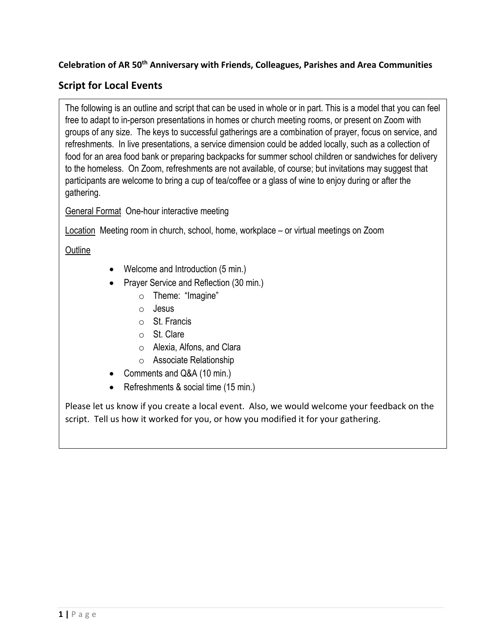**Celebration of AR 50th Anniversary with Friends, Colleagues, Parishes and Area Communities**

## **Script for Local Events**

The following is an outline and script that can be used in whole or in part. This is a model that you can feel free to adapt to in-person presentations in homes or church meeting rooms, or present on Zoom with groups of any size. The keys to successful gatherings are a combination of prayer, focus on service, and refreshments. In live presentations, a service dimension could be added locally, such as a collection of food for an area food bank or preparing backpacks for summer school children or sandwiches for delivery to the homeless. On Zoom, refreshments are not available, of course; but invitations may suggest that participants are welcome to bring a cup of tea/coffee or a glass of wine to enjoy during or after the gathering.

General Format One-hour interactive meeting

Location Meeting room in church, school, home, workplace – or virtual meetings on Zoom

**Outline** 

- Welcome and Introduction (5 min.)
- Prayer Service and Reflection (30 min.)
	- o Theme: "Imagine"
	- o Jesus
	- o St. Francis
	- o St. Clare
	- o Alexia, Alfons, and Clara
	- o Associate Relationship
- Comments and Q&A (10 min.)
- Refreshments & social time (15 min.)

Please let us know if you create a local event. Also, we would welcome your feedback on the script. Tell us how it worked for you, or how you modified it for your gathering.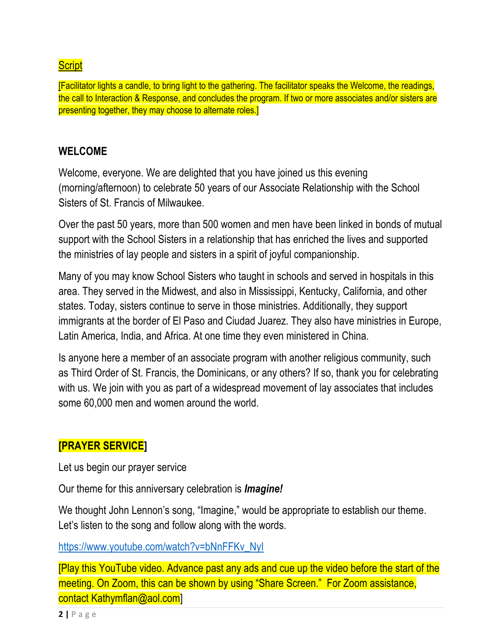## **Script**

[Facilitator lights a candle, to bring light to the gathering. The facilitator speaks the Welcome, the readings, the call to Interaction & Response, and concludes the program. If two or more associates and/or sisters are presenting together, they may choose to alternate roles.]

## **WELCOME**

Welcome, everyone. We are delighted that you have joined us this evening (morning/afternoon) to celebrate 50 years of our Associate Relationship with the School Sisters of St. Francis of Milwaukee.

Over the past 50 years, more than 500 women and men have been linked in bonds of mutual support with the School Sisters in a relationship that has enriched the lives and supported the ministries of lay people and sisters in a spirit of joyful companionship.

Many of you may know School Sisters who taught in schools and served in hospitals in this area. They served in the Midwest, and also in Mississippi, Kentucky, California, and other states. Today, sisters continue to serve in those ministries. Additionally, they support immigrants at the border of El Paso and Ciudad Juarez. They also have ministries in Europe, Latin America, India, and Africa. At one time they even ministered in China.

Is anyone here a member of an associate program with another religious community, such as Third Order of St. Francis, the Dominicans, or any others? If so, thank you for celebrating with us. We join with you as part of a widespread movement of lay associates that includes some 60,000 men and women around the world.

## **[PRAYER SERVICE]**

Let us begin our prayer service

Our theme for this anniversary celebration is *Imagine!*

We thought John Lennon's song, "Imagine," would be appropriate to establish our theme. Let's listen to the song and follow along with the words.

https://www.youtube.com/watch?v=bNnFFKv\_NyI

[Play this YouTube video. Advance past any ads and cue up the video before the start of the meeting. On Zoom, this can be shown by using "Share Screen." For Zoom assistance, contact Kathymflan@aol.com]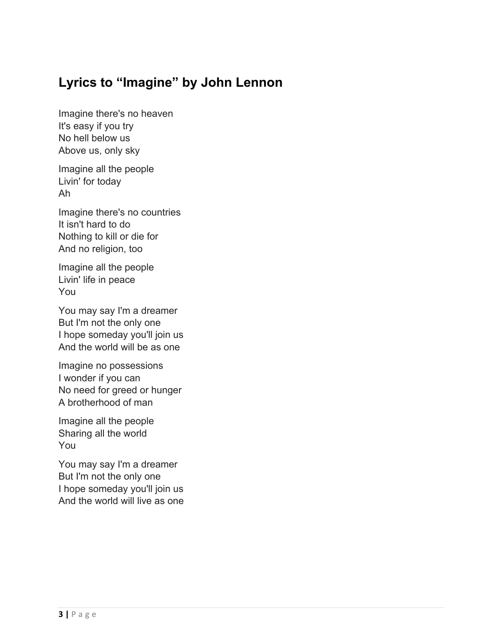# **Lyrics to "Imagine" by John Lennon**

Imagine there's no heaven It's easy if you try No hell below us Above us, only sky

Imagine all the people Livin' for today Ah

Imagine there's no countries It isn't hard to do Nothing to kill or die for And no religion, too

Imagine all the people Livin' life in peace You

You may say I'm a dreamer But I'm not the only one I hope someday you'll join us And the world will be as one

Imagine no possessions I wonder if you can No need for greed or hunger A brotherhood of man

Imagine all the people Sharing all the world You

You may say I'm a dreamer But I'm not the only one I hope someday you'll join us And the world will live as one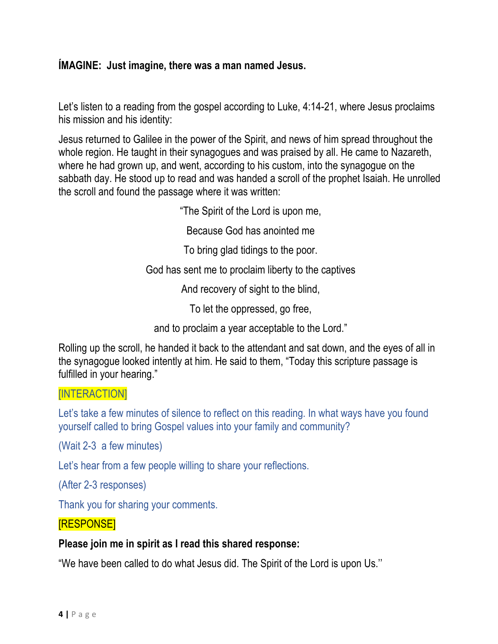### **ÍMAGINE: Just imagine, there was a man named Jesus.**

Let's listen to a reading from the gospel according to Luke, 4:14-21, where Jesus proclaims his mission and his identity:

Jesus returned to Galilee in the power of the Spirit, and news of him spread throughout the whole region. He taught in their synagogues and was praised by all. He came to Nazareth, where he had grown up, and went, according to his custom, into the synagogue on the sabbath day. He stood up to read and was handed a scroll of the prophet Isaiah. He unrolled the scroll and found the passage where it was written:

"The Spirit of the Lord is upon me,

Because God has anointed me

To bring glad tidings to the poor.

God has sent me to proclaim liberty to the captives

And recovery of sight to the blind,

To let the oppressed, go free,

and to proclaim a year acceptable to the Lord."

Rolling up the scroll, he handed it back to the attendant and sat down, and the eyes of all in the synagogue looked intently at him. He said to them, "Today this scripture passage is fulfilled in your hearing."

#### [INTERACTION]

Let's take a few minutes of silence to reflect on this reading. In what ways have you found yourself called to bring Gospel values into your family and community?

(Wait 2-3 a few minutes)

Let's hear from a few people willing to share your reflections.

(After 2-3 responses)

Thank you for sharing your comments.

#### [RESPONSE]

#### **Please join me in spirit as I read this shared response:**

"We have been called to do what Jesus did. The Spirit of the Lord is upon Us.''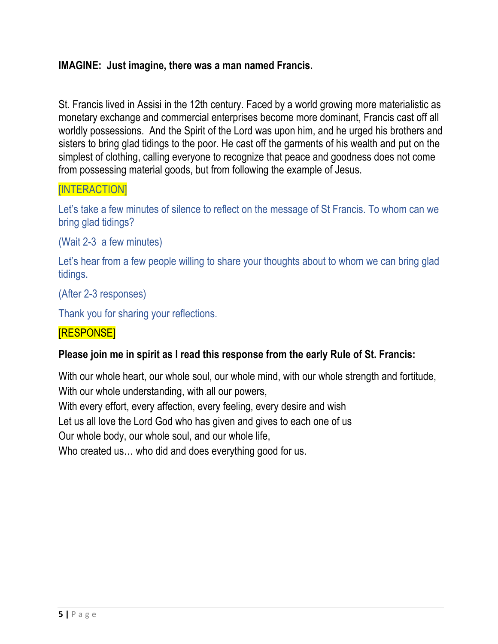## **IMAGINE: Just imagine, there was a man named Francis.**

St. Francis lived in Assisi in the 12th century. Faced by a world growing more materialistic as monetary exchange and commercial enterprises become more dominant, Francis cast off all worldly possessions. And the Spirit of the Lord was upon him, and he urged his brothers and sisters to bring glad tidings to the poor. He cast off the garments of his wealth and put on the simplest of clothing, calling everyone to recognize that peace and goodness does not come from possessing material goods, but from following the example of Jesus.

## [INTERACTION]

Let's take a few minutes of silence to reflect on the message of St Francis. To whom can we bring glad tidings?

(Wait 2-3 a few minutes)

Let's hear from a few people willing to share your thoughts about to whom we can bring glad tidings.

(After 2-3 responses)

Thank you for sharing your reflections.

## [RESPONSE]

### **Please join me in spirit as I read this response from the early Rule of St. Francis:**

With our whole heart, our whole soul, our whole mind, with our whole strength and fortitude, With our whole understanding, with all our powers, With every effort, every affection, every feeling, every desire and wish Let us all love the Lord God who has given and gives to each one of us Our whole body, our whole soul, and our whole life, Who created us… who did and does everything good for us.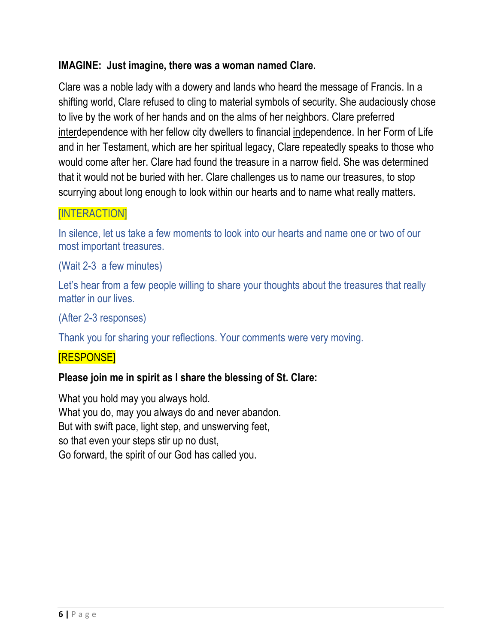## **IMAGINE: Just imagine, there was a woman named Clare.**

Clare was a noble lady with a dowery and lands who heard the message of Francis. In a shifting world, Clare refused to cling to material symbols of security. She audaciously chose to live by the work of her hands and on the alms of her neighbors. Clare preferred interdependence with her fellow city dwellers to financial independence. In her Form of Life and in her Testament, which are her spiritual legacy, Clare repeatedly speaks to those who would come after her. Clare had found the treasure in a narrow field. She was determined that it would not be buried with her. Clare challenges us to name our treasures, to stop scurrying about long enough to look within our hearts and to name what really matters.

## [INTERACTION]

In silence, let us take a few moments to look into our hearts and name one or two of our most important treasures.

(Wait 2-3 a few minutes)

Let's hear from a few people willing to share your thoughts about the treasures that really matter in our lives.

(After 2-3 responses)

Thank you for sharing your reflections. Your comments were very moving.

### [RESPONSE]

### **Please join me in spirit as I share the blessing of St. Clare:**

What you hold may you always hold. What you do, may you always do and never abandon. But with swift pace, light step, and unswerving feet, so that even your steps stir up no dust, Go forward, the spirit of our God has called you.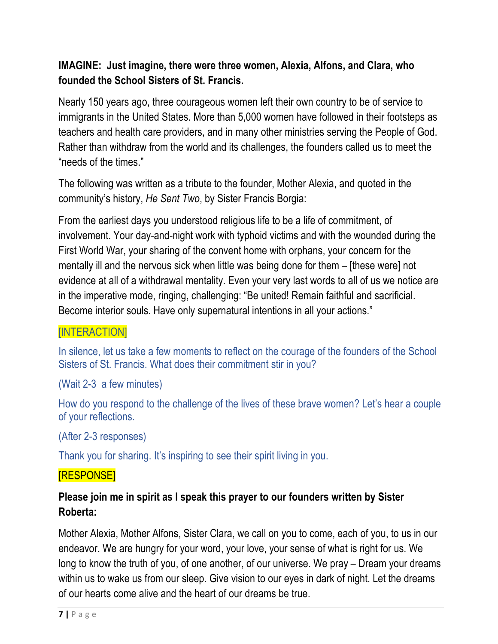## **IMAGINE: Just imagine, there were three women, Alexia, Alfons, and Clara, who founded the School Sisters of St. Francis.**

Nearly 150 years ago, three courageous women left their own country to be of service to immigrants in the United States. More than 5,000 women have followed in their footsteps as teachers and health care providers, and in many other ministries serving the People of God. Rather than withdraw from the world and its challenges, the founders called us to meet the "needs of the times."

The following was written as a tribute to the founder, Mother Alexia, and quoted in the community's history, *He Sent Two*, by Sister Francis Borgia:

From the earliest days you understood religious life to be a life of commitment, of involvement. Your day-and-night work with typhoid victims and with the wounded during the First World War, your sharing of the convent home with orphans, your concern for the mentally ill and the nervous sick when little was being done for them – [these were] not evidence at all of a withdrawal mentality. Even your very last words to all of us we notice are in the imperative mode, ringing, challenging: "Be united! Remain faithful and sacrificial. Become interior souls. Have only supernatural intentions in all your actions."

## [INTERACTION]

In silence, let us take a few moments to reflect on the courage of the founders of the School Sisters of St. Francis. What does their commitment stir in you?

(Wait 2-3 a few minutes)

How do you respond to the challenge of the lives of these brave women? Let's hear a couple of your reflections.

(After 2-3 responses)

Thank you for sharing. It's inspiring to see their spirit living in you.

## [RESPONSE]

# **Please join me in spirit as I speak this prayer to our founders written by Sister Roberta:**

Mother Alexia, Mother Alfons, Sister Clara, we call on you to come, each of you, to us in our endeavor. We are hungry for your word, your love, your sense of what is right for us. We long to know the truth of you, of one another, of our universe. We pray – Dream your dreams within us to wake us from our sleep. Give vision to our eyes in dark of night. Let the dreams of our hearts come alive and the heart of our dreams be true.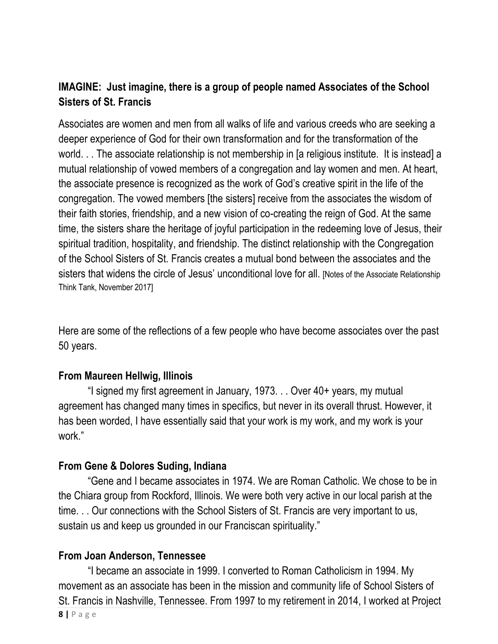# **IMAGINE: Just imagine, there is a group of people named Associates of the School Sisters of St. Francis**

Associates are women and men from all walks of life and various creeds who are seeking a deeper experience of God for their own transformation and for the transformation of the world. . . The associate relationship is not membership in [a religious institute. It is instead] a mutual relationship of vowed members of a congregation and lay women and men. At heart, the associate presence is recognized as the work of God's creative spirit in the life of the congregation. The vowed members [the sisters] receive from the associates the wisdom of their faith stories, friendship, and a new vision of co-creating the reign of God. At the same time, the sisters share the heritage of joyful participation in the redeeming love of Jesus, their spiritual tradition, hospitality, and friendship. The distinct relationship with the Congregation of the School Sisters of St. Francis creates a mutual bond between the associates and the sisters that widens the circle of Jesus' unconditional love for all. [Notes of the Associate Relationship Think Tank, November 2017]

Here are some of the reflections of a few people who have become associates over the past 50 years.

### **From Maureen Hellwig, Illinois**

"I signed my first agreement in January, 1973. . . Over 40+ years, my mutual agreement has changed many times in specifics, but never in its overall thrust. However, it has been worded, I have essentially said that your work is my work, and my work is your work."

## **From Gene & Dolores Suding, Indiana**

"Gene and I became associates in 1974. We are Roman Catholic. We chose to be in the Chiara group from Rockford, Illinois. We were both very active in our local parish at the time. . . Our connections with the School Sisters of St. Francis are very important to us, sustain us and keep us grounded in our Franciscan spirituality."

## **From Joan Anderson, Tennessee**

**8 |** Page "I became an associate in 1999. I converted to Roman Catholicism in 1994. My movement as an associate has been in the mission and community life of School Sisters of St. Francis in Nashville, Tennessee. From 1997 to my retirement in 2014, I worked at Project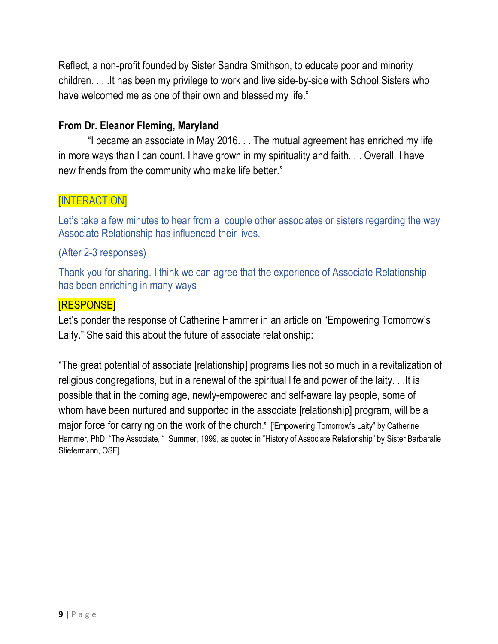Reflect, a non-profit founded by Sister Sandra Smithson, to educate poor and minority children. . . .It has been my privilege to work and live side-by-side with School Sisters who have welcomed me as one of their own and blessed my life."

## **From Dr. Eleanor Fleming, Maryland**

"I became an associate in May 2016. . . The mutual agreement has enriched my life in more ways than I can count. I have grown in my spirituality and faith. . . Overall, I have new friends from the community who make life better."

## [INTERACTION]

Let's take a few minutes to hear from a couple other associates or sisters regarding the way Associate Relationship has influenced their lives.

### (After 2-3 responses)

Thank you for sharing. I think we can agree that the experience of Associate Relationship has been enriching in many ways

### [RESPONSE]

Let's ponder the response of Catherine Hammer in an article on "Empowering Tomorrow's Laity." She said this about the future of associate relationship:

"The great potential of associate [relationship] programs lies not so much in a revitalization of religious congregations, but in a renewal of the spiritual life and power of the laity. . .It is possible that in the coming age, newly-empowered and self-aware lay people, some of whom have been nurtured and supported in the associate [relationship] program, will be a major force for carrying on the work of the church." ['Empowering Tomorrow's Laity" by Catherine Hammer, PhD, "The Associate, " Summer, 1999, as quoted in "History of Associate Relationship" by Sister Barbaralie Stiefermann, OSF]